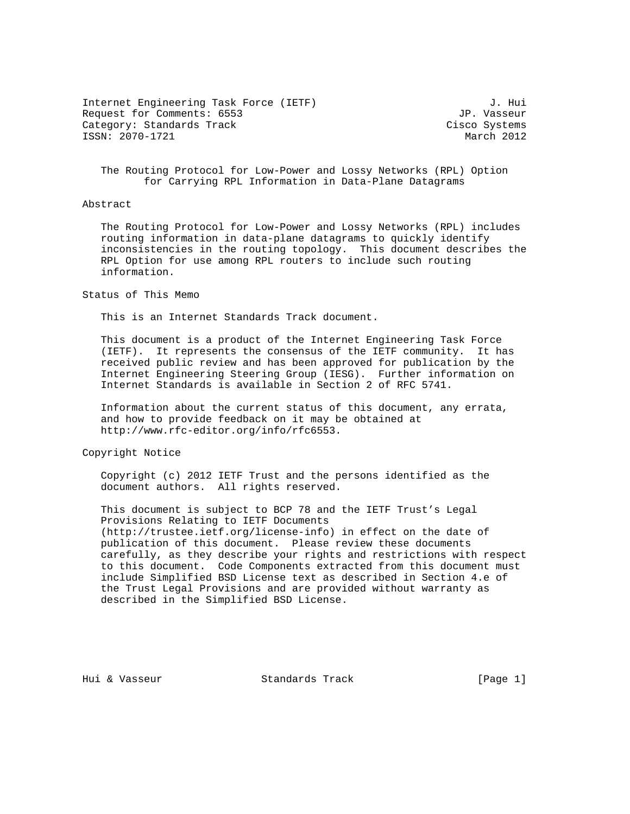Internet Engineering Task Force (IETF)  $J.$  Hui<br>Request for Comments: 6553 Request for Comments: 6553 Category: Standards Track Cisco Systems ISSN: 2070-1721 March 2012

 The Routing Protocol for Low-Power and Lossy Networks (RPL) Option for Carrying RPL Information in Data-Plane Datagrams

## Abstract

 The Routing Protocol for Low-Power and Lossy Networks (RPL) includes routing information in data-plane datagrams to quickly identify inconsistencies in the routing topology. This document describes the RPL Option for use among RPL routers to include such routing information.

## Status of This Memo

This is an Internet Standards Track document.

 This document is a product of the Internet Engineering Task Force (IETF). It represents the consensus of the IETF community. It has received public review and has been approved for publication by the Internet Engineering Steering Group (IESG). Further information on Internet Standards is available in Section 2 of RFC 5741.

 Information about the current status of this document, any errata, and how to provide feedback on it may be obtained at http://www.rfc-editor.org/info/rfc6553.

Copyright Notice

 Copyright (c) 2012 IETF Trust and the persons identified as the document authors. All rights reserved.

 This document is subject to BCP 78 and the IETF Trust's Legal Provisions Relating to IETF Documents (http://trustee.ietf.org/license-info) in effect on the date of publication of this document. Please review these documents carefully, as they describe your rights and restrictions with respect to this document. Code Components extracted from this document must include Simplified BSD License text as described in Section 4.e of the Trust Legal Provisions and are provided without warranty as described in the Simplified BSD License.

Hui & Vasseur Standards Track [Page 1]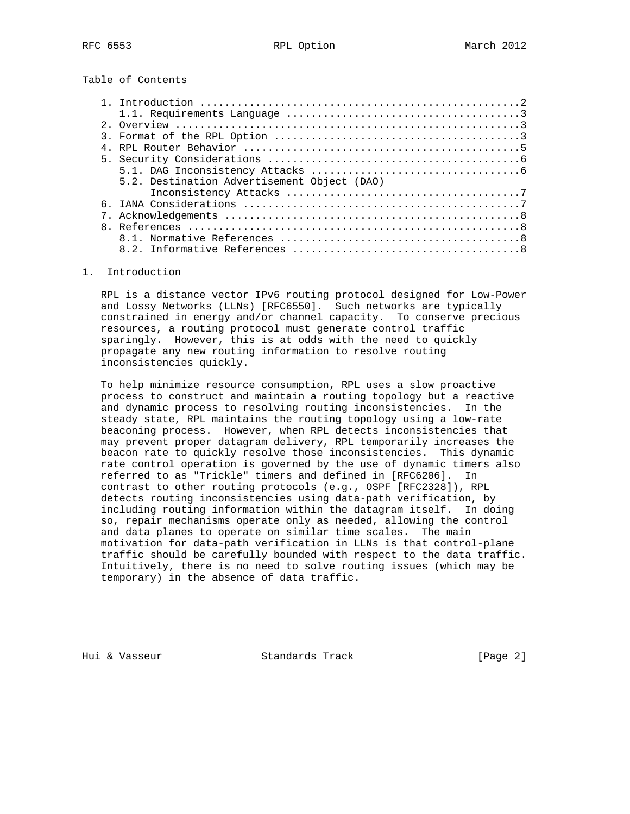Table of Contents

| 5.2. Destination Advertisement Object (DAO) |
|---------------------------------------------|
|                                             |
|                                             |
|                                             |
|                                             |
|                                             |
|                                             |

## 1. Introduction

 RPL is a distance vector IPv6 routing protocol designed for Low-Power and Lossy Networks (LLNs) [RFC6550]. Such networks are typically constrained in energy and/or channel capacity. To conserve precious resources, a routing protocol must generate control traffic sparingly. However, this is at odds with the need to quickly propagate any new routing information to resolve routing inconsistencies quickly.

 To help minimize resource consumption, RPL uses a slow proactive process to construct and maintain a routing topology but a reactive and dynamic process to resolving routing inconsistencies. In the steady state, RPL maintains the routing topology using a low-rate beaconing process. However, when RPL detects inconsistencies that may prevent proper datagram delivery, RPL temporarily increases the beacon rate to quickly resolve those inconsistencies. This dynamic rate control operation is governed by the use of dynamic timers also referred to as "Trickle" timers and defined in [RFC6206]. In contrast to other routing protocols (e.g., OSPF [RFC2328]), RPL detects routing inconsistencies using data-path verification, by including routing information within the datagram itself. In doing so, repair mechanisms operate only as needed, allowing the control and data planes to operate on similar time scales. The main motivation for data-path verification in LLNs is that control-plane traffic should be carefully bounded with respect to the data traffic. Intuitively, there is no need to solve routing issues (which may be temporary) in the absence of data traffic.

Hui & Vasseur Standards Track [Page 2]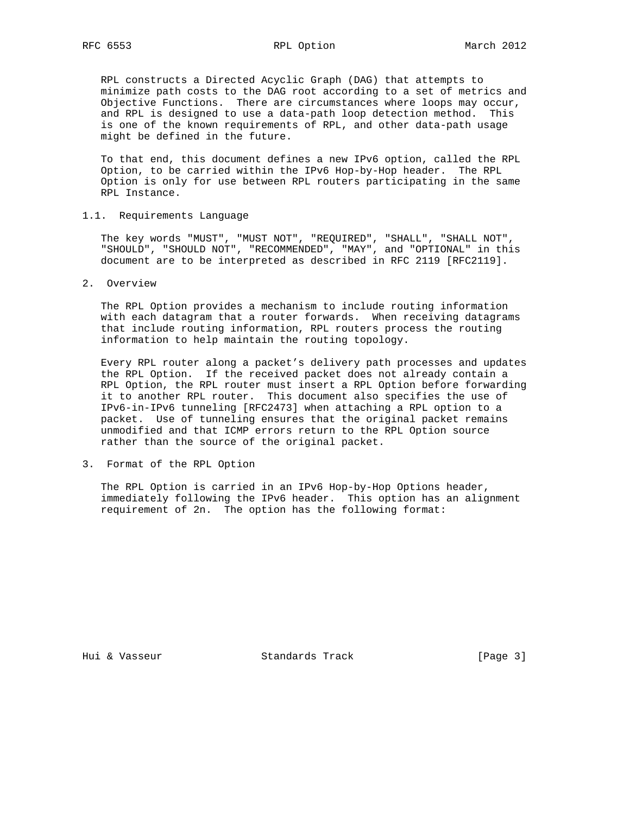RPL constructs a Directed Acyclic Graph (DAG) that attempts to minimize path costs to the DAG root according to a set of metrics and Objective Functions. There are circumstances where loops may occur, and RPL is designed to use a data-path loop detection method. This is one of the known requirements of RPL, and other data-path usage might be defined in the future.

 To that end, this document defines a new IPv6 option, called the RPL Option, to be carried within the IPv6 Hop-by-Hop header. The RPL Option is only for use between RPL routers participating in the same RPL Instance.

1.1. Requirements Language

 The key words "MUST", "MUST NOT", "REQUIRED", "SHALL", "SHALL NOT", "SHOULD", "SHOULD NOT", "RECOMMENDED", "MAY", and "OPTIONAL" in this document are to be interpreted as described in RFC 2119 [RFC2119].

2. Overview

 The RPL Option provides a mechanism to include routing information with each datagram that a router forwards. When receiving datagrams that include routing information, RPL routers process the routing information to help maintain the routing topology.

 Every RPL router along a packet's delivery path processes and updates the RPL Option. If the received packet does not already contain a RPL Option, the RPL router must insert a RPL Option before forwarding it to another RPL router. This document also specifies the use of IPv6-in-IPv6 tunneling [RFC2473] when attaching a RPL option to a packet. Use of tunneling ensures that the original packet remains unmodified and that ICMP errors return to the RPL Option source rather than the source of the original packet.

3. Format of the RPL Option

 The RPL Option is carried in an IPv6 Hop-by-Hop Options header, immediately following the IPv6 header. This option has an alignment requirement of 2n. The option has the following format:

Hui & Vasseur Standards Track [Page 3]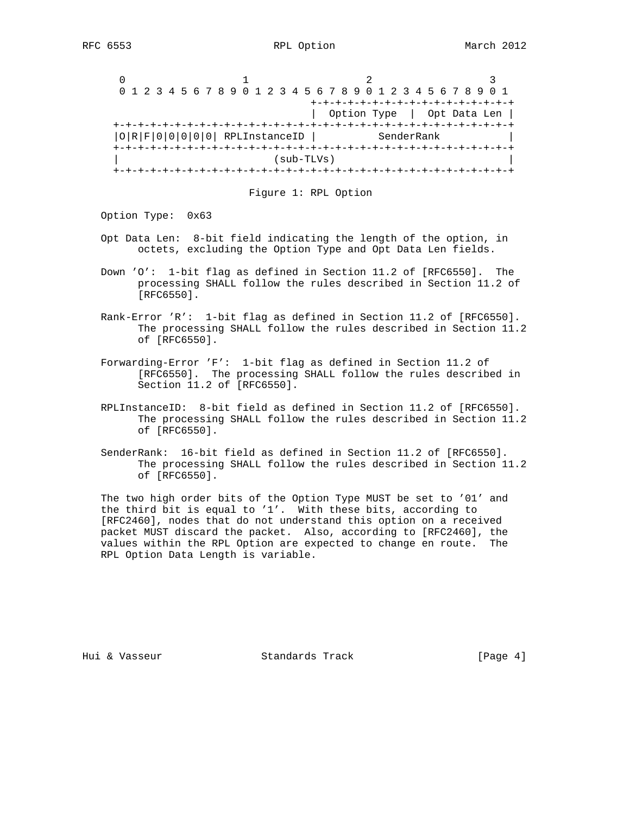|         |               | 0 1 2 3 4 5 6 7 8 9 0 1 2 3 4 5 6 7 8 9 0 1 2 3 4 5 6 7 8 9 0 1 |              |
|---------|---------------|-----------------------------------------------------------------|--------------|
|         |               | +-+-+-+-+-+-+-+-+-+-+-+-+                                       |              |
|         |               | Option Type                                                     | Opt Data Len |
|         |               |                                                                 |              |
| IOIRIFI | RPLInstanceID | SenderRank                                                      |              |
|         |               |                                                                 |              |
|         |               | (sub-TLVs)                                                      |              |
|         |               |                                                                 |              |

Figure 1: RPL Option

Option Type: 0x63

- Opt Data Len: 8-bit field indicating the length of the option, in octets, excluding the Option Type and Opt Data Len fields.
- Down 'O': 1-bit flag as defined in Section 11.2 of [RFC6550]. The processing SHALL follow the rules described in Section 11.2 of [RFC6550].
- Rank-Error 'R': 1-bit flag as defined in Section 11.2 of [RFC6550]. The processing SHALL follow the rules described in Section 11.2 of [RFC6550].
- Forwarding-Error 'F': 1-bit flag as defined in Section 11.2 of [RFC6550]. The processing SHALL follow the rules described in Section 11.2 of [RFC6550].
- RPLInstanceID: 8-bit field as defined in Section 11.2 of [RFC6550]. The processing SHALL follow the rules described in Section 11.2 of [RFC6550].
- SenderRank: 16-bit field as defined in Section 11.2 of [RFC6550]. The processing SHALL follow the rules described in Section 11.2 of [RFC6550].

 The two high order bits of the Option Type MUST be set to '01' and the third bit is equal to '1'. With these bits, according to [RFC2460], nodes that do not understand this option on a received packet MUST discard the packet. Also, according to [RFC2460], the values within the RPL Option are expected to change en route. The RPL Option Data Length is variable.

Hui & Vasseur Standards Track [Page 4]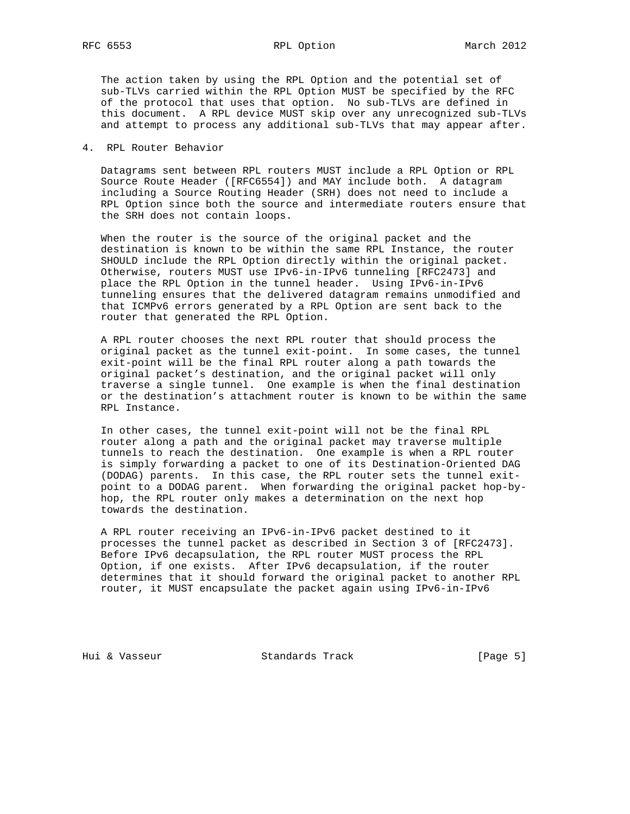The action taken by using the RPL Option and the potential set of sub-TLVs carried within the RPL Option MUST be specified by the RFC of the protocol that uses that option. No sub-TLVs are defined in this document. A RPL device MUST skip over any unrecognized sub-TLVs and attempt to process any additional sub-TLVs that may appear after.

4. RPL Router Behavior

 Datagrams sent between RPL routers MUST include a RPL Option or RPL Source Route Header ([RFC6554]) and MAY include both. A datagram including a Source Routing Header (SRH) does not need to include a RPL Option since both the source and intermediate routers ensure that the SRH does not contain loops.

 When the router is the source of the original packet and the destination is known to be within the same RPL Instance, the router SHOULD include the RPL Option directly within the original packet. Otherwise, routers MUST use IPv6-in-IPv6 tunneling [RFC2473] and place the RPL Option in the tunnel header. Using IPv6-in-IPv6 tunneling ensures that the delivered datagram remains unmodified and that ICMPv6 errors generated by a RPL Option are sent back to the router that generated the RPL Option.

 A RPL router chooses the next RPL router that should process the original packet as the tunnel exit-point. In some cases, the tunnel exit-point will be the final RPL router along a path towards the original packet's destination, and the original packet will only traverse a single tunnel. One example is when the final destination or the destination's attachment router is known to be within the same RPL Instance.

 In other cases, the tunnel exit-point will not be the final RPL router along a path and the original packet may traverse multiple tunnels to reach the destination. One example is when a RPL router is simply forwarding a packet to one of its Destination-Oriented DAG (DODAG) parents. In this case, the RPL router sets the tunnel exit point to a DODAG parent. When forwarding the original packet hop-by hop, the RPL router only makes a determination on the next hop towards the destination.

 A RPL router receiving an IPv6-in-IPv6 packet destined to it processes the tunnel packet as described in Section 3 of [RFC2473]. Before IPv6 decapsulation, the RPL router MUST process the RPL Option, if one exists. After IPv6 decapsulation, if the router determines that it should forward the original packet to another RPL router, it MUST encapsulate the packet again using IPv6-in-IPv6

Hui & Vasseur Standards Track [Page 5]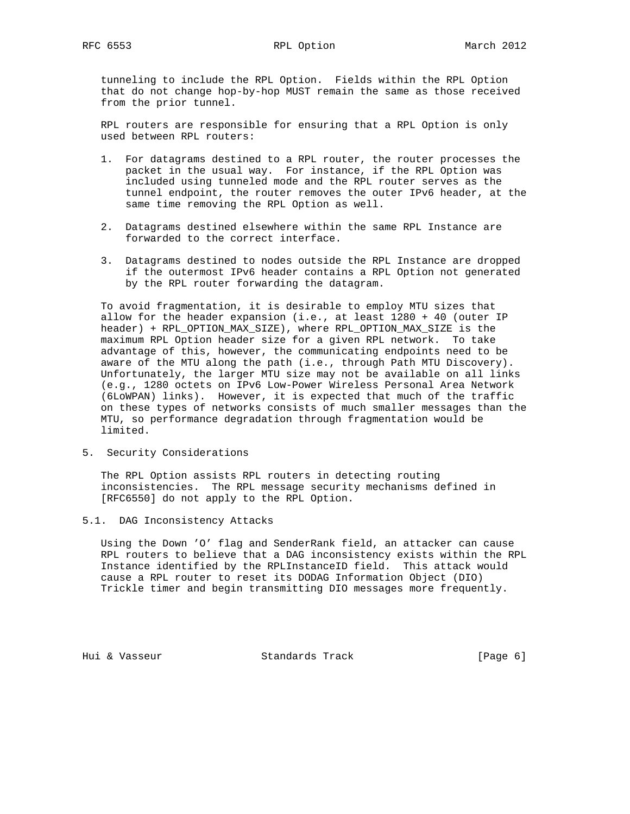tunneling to include the RPL Option. Fields within the RPL Option that do not change hop-by-hop MUST remain the same as those received from the prior tunnel.

 RPL routers are responsible for ensuring that a RPL Option is only used between RPL routers:

- 1. For datagrams destined to a RPL router, the router processes the packet in the usual way. For instance, if the RPL Option was included using tunneled mode and the RPL router serves as the tunnel endpoint, the router removes the outer IPv6 header, at the same time removing the RPL Option as well.
- 2. Datagrams destined elsewhere within the same RPL Instance are forwarded to the correct interface.
- 3. Datagrams destined to nodes outside the RPL Instance are dropped if the outermost IPv6 header contains a RPL Option not generated by the RPL router forwarding the datagram.

 To avoid fragmentation, it is desirable to employ MTU sizes that allow for the header expansion (i.e., at least 1280 + 40 (outer IP header) + RPL\_OPTION\_MAX\_SIZE), where RPL\_OPTION\_MAX\_SIZE is the maximum RPL Option header size for a given RPL network. To take advantage of this, however, the communicating endpoints need to be aware of the MTU along the path (i.e., through Path MTU Discovery). Unfortunately, the larger MTU size may not be available on all links (e.g., 1280 octets on IPv6 Low-Power Wireless Personal Area Network (6LoWPAN) links). However, it is expected that much of the traffic on these types of networks consists of much smaller messages than the MTU, so performance degradation through fragmentation would be limited.

5. Security Considerations

 The RPL Option assists RPL routers in detecting routing inconsistencies. The RPL message security mechanisms defined in [RFC6550] do not apply to the RPL Option.

5.1. DAG Inconsistency Attacks

 Using the Down 'O' flag and SenderRank field, an attacker can cause RPL routers to believe that a DAG inconsistency exists within the RPL Instance identified by the RPLInstanceID field. This attack would cause a RPL router to reset its DODAG Information Object (DIO) Trickle timer and begin transmitting DIO messages more frequently.

Hui & Vasseur Standards Track [Page 6]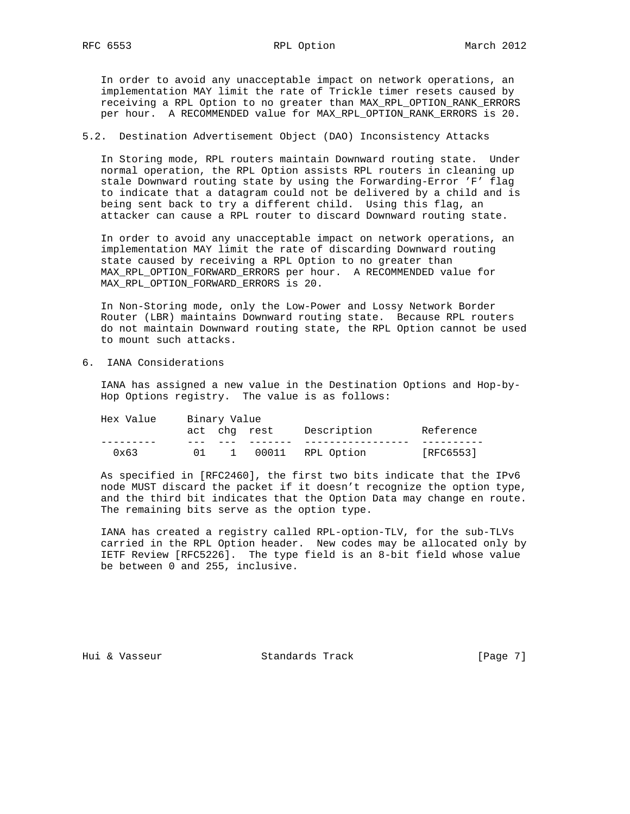In order to avoid any unacceptable impact on network operations, an implementation MAY limit the rate of Trickle timer resets caused by receiving a RPL Option to no greater than MAX\_RPL\_OPTION\_RANK\_ERRORS per hour. A RECOMMENDED value for MAX\_RPL\_OPTION\_RANK\_ERRORS is 20.

## 5.2. Destination Advertisement Object (DAO) Inconsistency Attacks

 In Storing mode, RPL routers maintain Downward routing state. Under normal operation, the RPL Option assists RPL routers in cleaning up stale Downward routing state by using the Forwarding-Error 'F' flag to indicate that a datagram could not be delivered by a child and is being sent back to try a different child. Using this flag, an attacker can cause a RPL router to discard Downward routing state.

 In order to avoid any unacceptable impact on network operations, an implementation MAY limit the rate of discarding Downward routing state caused by receiving a RPL Option to no greater than MAX\_RPL\_OPTION\_FORWARD\_ERRORS per hour. A RECOMMENDED value for MAX\_RPL\_OPTION\_FORWARD\_ERRORS is 20.

 In Non-Storing mode, only the Low-Power and Lossy Network Border Router (LBR) maintains Downward routing state. Because RPL routers do not maintain Downward routing state, the RPL Option cannot be used to mount such attacks.

6. IANA Considerations

 IANA has assigned a new value in the Destination Options and Hop-by- Hop Options registry. The value is as follows:

| Hex Value     |    | Binary Value |              |             |           |  |
|---------------|----|--------------|--------------|-------------|-----------|--|
|               |    |              | act chg rest | Description | Reference |  |
| $0 \times 63$ | 01 |              | 00011        | RPL Option  | [RFC6553] |  |

 As specified in [RFC2460], the first two bits indicate that the IPv6 node MUST discard the packet if it doesn't recognize the option type, and the third bit indicates that the Option Data may change en route. The remaining bits serve as the option type.

 IANA has created a registry called RPL-option-TLV, for the sub-TLVs carried in the RPL Option header. New codes may be allocated only by IETF Review [RFC5226]. The type field is an 8-bit field whose value be between 0 and 255, inclusive.

Hui & Vasseur Standards Track [Page 7]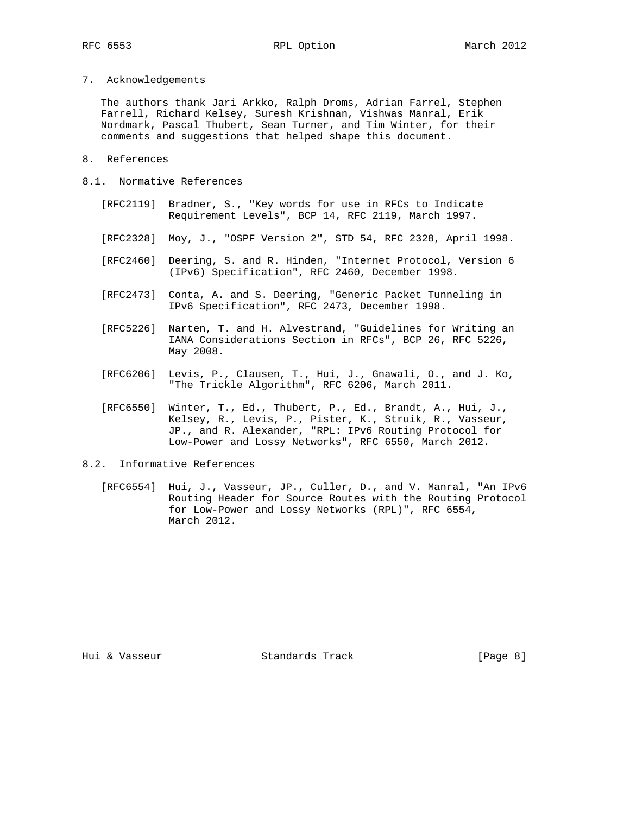7. Acknowledgements

 The authors thank Jari Arkko, Ralph Droms, Adrian Farrel, Stephen Farrell, Richard Kelsey, Suresh Krishnan, Vishwas Manral, Erik Nordmark, Pascal Thubert, Sean Turner, and Tim Winter, for their comments and suggestions that helped shape this document.

- 8. References
- 8.1. Normative References
	- [RFC2119] Bradner, S., "Key words for use in RFCs to Indicate Requirement Levels", BCP 14, RFC 2119, March 1997.
	- [RFC2328] Moy, J., "OSPF Version 2", STD 54, RFC 2328, April 1998.
	- [RFC2460] Deering, S. and R. Hinden, "Internet Protocol, Version 6 (IPv6) Specification", RFC 2460, December 1998.
	- [RFC2473] Conta, A. and S. Deering, "Generic Packet Tunneling in IPv6 Specification", RFC 2473, December 1998.
	- [RFC5226] Narten, T. and H. Alvestrand, "Guidelines for Writing an IANA Considerations Section in RFCs", BCP 26, RFC 5226, May 2008.
	- [RFC6206] Levis, P., Clausen, T., Hui, J., Gnawali, O., and J. Ko, "The Trickle Algorithm", RFC 6206, March 2011.
	- [RFC6550] Winter, T., Ed., Thubert, P., Ed., Brandt, A., Hui, J., Kelsey, R., Levis, P., Pister, K., Struik, R., Vasseur, JP., and R. Alexander, "RPL: IPv6 Routing Protocol for Low-Power and Lossy Networks", RFC 6550, March 2012.
- 8.2. Informative References
	- [RFC6554] Hui, J., Vasseur, JP., Culler, D., and V. Manral, "An IPv6 Routing Header for Source Routes with the Routing Protocol for Low-Power and Lossy Networks (RPL)", RFC 6554, March 2012.

Hui & Vasseur Standards Track [Page 8]